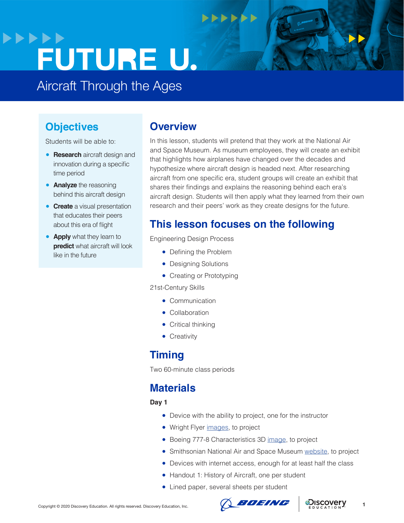# **>>>>>>** FUTURE U.

# Aircraft Through the Ages

# **Objectives**

Students will be able to:

- **Research** aircraft design and innovation during a specific time period
- **Analyze** the reasoning behind this aircraft design
- **Create** a visual presentation that educates their peers about this era of flight
- **Apply** what they learn to **predict** what aircraft will look like in the future

### **Overview**

In this lesson, students will pretend that they work at the National Air and Space Museum. As museum employees, they will create an exhibit that highlights how airplanes have changed over the decades and hypothesize where aircraft design is headed next. After researching aircraft from one specific era, student groups will create an exhibit that shares their findings and explains the reasoning behind each era's aircraft design. Students will then apply what they learned from their own research and their peers' work as they create designs for the future.

# **This lesson focuses on the following**

 $+$ 

Engineering Design Process

- Defining the Problem
- Designing Solutions
- Creating or Prototyping

21st-Century Skills

- Communication
- Collaboration
- Critical thinking
- Creativity

# **Timing**

Two 60-minute class periods

# **Materials**

**Day 1**

- Device with the ability to project, one for the instructor
- Wright Flyer *images*, to project
- Boeing 777-8 Characteristics 3D [image,](https://www.boeing.com/commercial/777x/by-design/#/777-8-characteristics) to project
- Smithsonian National Air and Space Museum [website](https://airandspace.si.edu/), to project
- Devices with internet access, enough for at least half the class
- Handout 1: History of Aircraft, one per student
- Lined paper, several sheets per student



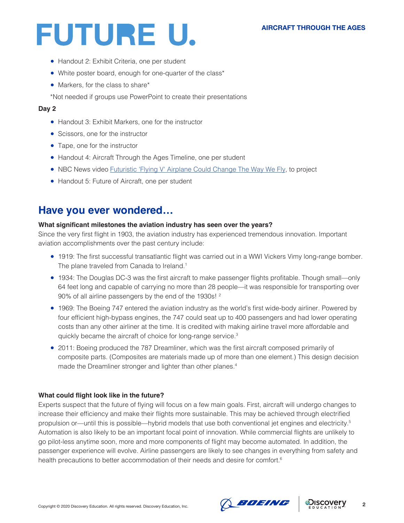- Handout 2: Exhibit Criteria, one per student
- White poster board, enough for one-quarter of the class\*
- Markers, for the class to share\*

\*Not needed if groups use PowerPoint to create their presentations

### **Day 2**

- Handout 3: Exhibit Markers, one for the instructor
- Scissors, one for the instructor
- Tape, one for the instructor
- Handout 4: Aircraft Through the Ages Timeline, one per student
- NBC News video [Futuristic 'Flying V' Airplane Could Change The Way We Fly,](https://www.youtube.com/watch?v=cmi4k3rFVio&feature=youtu.be) to project
- Handout 5: Future of Aircraft, one per student

### **Have you ever wondered…**

### **What significant milestones the aviation industry has seen over the years?**

Since the very first flight in 1903, the aviation industry has experienced tremendous innovation. Important aviation accomplishments over the past century include:

- 1919: The first successful transatlantic flight was carried out in a WWI Vickers Vimy long-range bomber. The plane traveled from Canada to Ireland.<sup>1</sup>
- 1934: The Douglas DC-3 was the first aircraft to make passenger flights profitable. Though small—only 64 feet long and capable of carrying no more than 28 people—it was responsible for transporting over 90% of all airline passengers by the end of the 1930s! <sup>2</sup>
- 1969: The Boeing 747 entered the aviation industry as the world's first wide-body airliner. Powered by four efficient high-bypass engines, the 747 could seat up to 400 passengers and had lower operating costs than any other airliner at the time. It is credited with making airline travel more affordable and quickly became the aircraft of choice for long-range service.<sup>3</sup>
- 2011: Boeing produced the 787 Dreamliner, which was the first aircraft composed primarily of composite parts. (Composites are materials made up of more than one element.) This design decision made the Dreamliner stronger and lighter than other planes.<sup>4</sup>

### **What could flight look like in the future?**

Experts suspect that the future of flying will focus on a few main goals. First, aircraft will undergo changes to increase their efficiency and make their flights more sustainable. This may be achieved through electrified propulsion or—until this is possible—hybrid models that use both conventional jet engines and electricity.<sup>5</sup> Automation is also likely to be an important focal point of innovation. While commercial flights are unlikely to go pilot-less anytime soon, more and more components of flight may become automated. In addition, the passenger experience will evolve. Airline passengers are likely to see changes in everything from safety and health precautions to better accommodation of their needs and desire for comfort.<sup>6</sup>

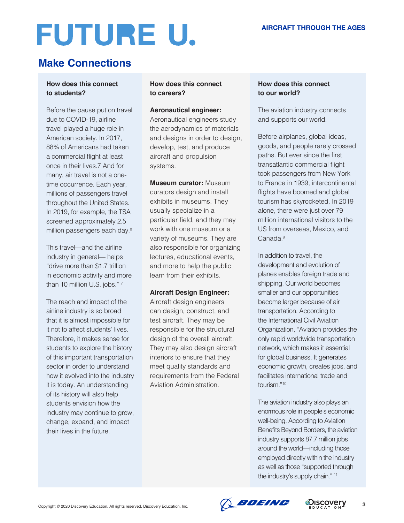# **Make Connections**

### **How does this connect to students?**

Before the pause put on travel due to COVID-19, airline travel played a huge role in American society. In 2017, 88% of Americans had taken a commercial flight at least once in their lives.7 And for many, air travel is not a onetime occurrence. Each year, millions of passengers travel throughout the United States. In 2019, for example, the TSA screened approximately 2.5 million passengers each day.8

This travel—and the airline industry in general— helps "drive more than \$1.7 trillion in economic activity and more than 10 million U.S. jobs."<sup>7</sup>

The reach and impact of the airline industry is so broad that it is almost impossible for it not to affect students' lives. Therefore, it makes sense for students to explore the history of this important transportation sector in order to understand how it evolved into the industry it is today. An understanding of its history will also help students envision how the industry may continue to grow, change, expand, and impact their lives in the future.

### **How does this connect to careers?**

### **Aeronautical engineer:**

Aeronautical engineers study the aerodynamics of materials and designs in order to design, develop, test, and produce aircraft and propulsion systems.

**Museum curator:** Museum curators design and install exhibits in museums. They usually specialize in a particular field, and they may work with one museum or a variety of museums. They are also responsible for organizing lectures, educational events, and more to help the public learn from their exhibits.

### **Aircraft Design Engineer:**

Aircraft design engineers can design, construct, and test aircraft. They may be responsible for the structural design of the overall aircraft. They may also design aircraft interiors to ensure that they meet quality standards and requirements from the Federal Aviation Administration.

### **How does this connect to our world?**

The aviation industry connects and supports our world.

Before airplanes, global ideas, goods, and people rarely crossed paths. But ever since the first transatlantic commercial flight took passengers from New York to France in 1939, intercontinental flights have boomed and global tourism has skyrocketed. In 2019 alone, there were just over 79 million international visitors to the US from overseas, Mexico, and Canada.<sup>9</sup>

In addition to travel, the development and evolution of planes enables foreign trade and shipping. Our world becomes smaller and our opportunities become larger because of air transportation. According to the International Civil Aviation Organization, "Aviation provides the only rapid worldwide transportation network, which makes it essential for global business. It generates economic growth, creates jobs, and facilitates international trade and tourism."10

The aviation industry also plays an enormous role in people's economic well-being. According to Aviation Benefits Beyond Borders, the aviation industry supports 87.7 million jobs around the world—including those employed directly within the industry as well as those "supported through the industry's supply chain." 11

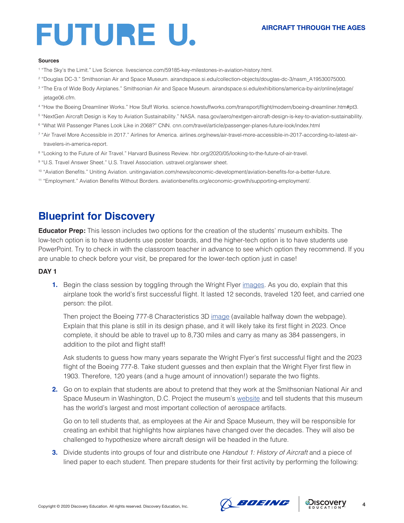#### **Sources**

- <sup>1</sup> "The Sky's the Limit." Live Science. livescience.com/59185-key-milestones-in-aviation-history.html.
- 2 "Douglas DC-3." Smithsonian Air and Space Museum. airandspace.si.edu/collection-objects/douglas-dc-3/nasm\_A19530075000.
- 3 "The Era of Wide Body Airplanes." Smithsonian Air and Space Museum. airandspace.si.edu/exhibitions/america-by-air/online/jetage/ jetage06.cfm.
- 4 "How the Boeing Dreamliner Works." How Stuff Works. science.howstuffworks.com/transport/flight/modern/boeing-dreamliner.htm#pt3.
- 5 "NextGen Aircraft Design is Key to Aviation Sustainability." NASA. nasa.gov/aero/nextgen-aircraft-design-is-key-to-aviation-sustainability.
- 6 "What Will Passenger Planes Look Like in 2068?" CNN. cnn.com/travel/article/passenger-planes-future-look/index.html
- 7 "Air Travel More Accessible in 2017." Airlines for America. airlines.org/news/air-travel-more-accessible-in-2017-according-to-latest-airtravelers-in-america-report.
- <sup>8</sup> "Looking to the Future of Air Travel." Harvard Business Review. hbr.org/2020/05/looking-to-the-future-of-air-travel.
- <sup>9</sup> "U.S. Travel Answer Sheet." U.S. Travel Association. ustravel.org/answer sheet.
- <sup>10</sup> "Aviation Benefits." Uniting Aviation. unitingaviation.com/news/economic-development/aviation-benefits-for-a-better-future.
- <sup>11</sup> "Employment." Aviation Benefits Without Borders. aviationbenefits.org/economic-growth/supporting-employment/.

### **Blueprint for Discovery**

**Educator Prep:** This lesson includes two options for the creation of the students' museum exhibits. The low-tech option is to have students use poster boards, and the higher-tech option is to have students use PowerPoint. Try to check in with the classroom teacher in advance to see which option they recommend. If you are unable to check before your visit, be prepared for the lower-tech option just in case!

#### **DAY 1**

**1.** Begin the class session by toggling through the Wright Flyer *images*. As you do, explain that this airplane took the world's first successful flight. It lasted 12 seconds, traveled 120 feet, and carried one person: the pilot.

Then project the Boeing 777-8 Characteristics 3D [image](https://www.boeing.com/commercial/777x/by-design/#/777-8-characteristics) (available halfway down the webpage). Explain that this plane is still in its design phase, and it will likely take its first flight in 2023. Once complete, it should be able to travel up to 8,730 miles and carry as many as 384 passengers, in addition to the pilot and flight staff!

Ask students to guess how many years separate the Wright Flyer's first successful flight and the 2023 flight of the Boeing 777-8. Take student guesses and then explain that the Wright Flyer first flew in 1903. Therefore, 120 years (and a huge amount of innovation!) separate the two flights.

**2.** Go on to explain that students are about to pretend that they work at the Smithsonian National Air and Space Museum in Washington, D.C. Project the museum's [website](https://airandspace.si.edu/) and tell students that this museum has the world's largest and most important collection of aerospace artifacts.

Go on to tell students that, as employees at the Air and Space Museum, they will be responsible for creating an exhibit that highlights how airplanes have changed over the decades. They will also be challenged to hypothesize where aircraft design will be headed in the future.

**3.** Divide students into groups of four and distribute one *Handout 1: History of Aircraft* and a piece of lined paper to each student. Then prepare students for their first activity by performing the following:

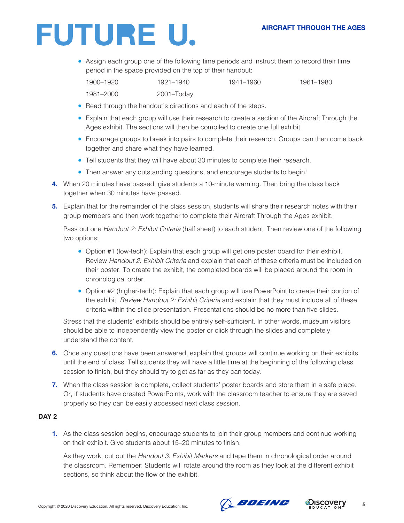• Assign each group one of the following time periods and instruct them to record their time period in the space provided on the top of their handout:

| 1900–1920 | 1921–1940  | 1941–1960 | 1961–1980 |
|-----------|------------|-----------|-----------|
| 1981–2000 | 2001–Today |           |           |

- Read through the handout's directions and each of the steps.
- Explain that each group will use their research to create a section of the Aircraft Through the Ages exhibit. The sections will then be compiled to create one full exhibit.
- Encourage groups to break into pairs to complete their research. Groups can then come back together and share what they have learned.
- Tell students that they will have about 30 minutes to complete their research.
- Then answer any outstanding questions, and encourage students to begin!
- **4.** When 20 minutes have passed, give students a 10-minute warning. Then bring the class back together when 30 minutes have passed.
- **5.** Explain that for the remainder of the class session, students will share their research notes with their group members and then work together to complete their Aircraft Through the Ages exhibit.

Pass out one *Handout 2: Exhibit Criteria* (half sheet) to each student. Then review one of the following two options:

- Option #1 (low-tech): Explain that each group will get one poster board for their exhibit. Review *Handout 2: Exhibit Criteria* and explain that each of these criteria must be included on their poster. To create the exhibit, the completed boards will be placed around the room in chronological order.
- Option #2 (higher-tech): Explain that each group will use PowerPoint to create their portion of the exhibit. *Review Handout 2: Exhibit Criteria* and explain that they must include all of these criteria within the slide presentation. Presentations should be no more than five slides.

Stress that the students' exhibits should be entirely self-sufficient. In other words, museum visitors should be able to independently view the poster or click through the slides and completely understand the content.

- **6.** Once any questions have been answered, explain that groups will continue working on their exhibits until the end of class. Tell students they will have a little time at the beginning of the following class session to finish, but they should try to get as far as they can today.
- **7.** When the class session is complete, collect students' poster boards and store them in a safe place. Or, if students have created PowerPoints, work with the classroom teacher to ensure they are saved properly so they can be easily accessed next class session.

### **DAY 2**

**1.** As the class session begins, encourage students to join their group members and continue working on their exhibit. Give students about 15–20 minutes to finish.

As they work, cut out the *Handout 3: Exhibit Markers* and tape them in chronological order around the classroom. Remember: Students will rotate around the room as they look at the different exhibit sections, so think about the flow of the exhibit.



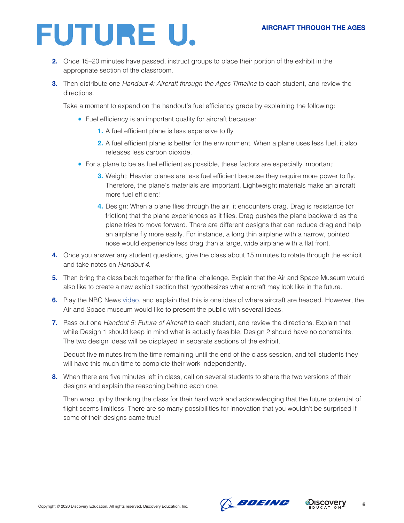- **2.** Once 15–20 minutes have passed, instruct groups to place their portion of the exhibit in the appropriate section of the classroom.
- **3.** Then distribute one *Handout 4: Aircraft through the Ages Timeline* to each student, and review the directions.

Take a moment to expand on the handout's fuel efficiency grade by explaining the following:

- Fuel efficiency is an important quality for aircraft because:
	- **1.** A fuel efficient plane is less expensive to fly
	- **2.** A fuel efficient plane is better for the environment. When a plane uses less fuel, it also releases less carbon dioxide.
- For a plane to be as fuel efficient as possible, these factors are especially important:
	- **3.** Weight: Heavier planes are less fuel efficient because they require more power to fly. Therefore, the plane's materials are important. Lightweight materials make an aircraft more fuel efficient!
	- **4.** Design: When a plane flies through the air, it encounters drag. Drag is resistance (or friction) that the plane experiences as it flies. Drag pushes the plane backward as the plane tries to move forward. There are different designs that can reduce drag and help an airplane fly more easily. For instance, a long thin airplane with a narrow, pointed nose would experience less drag than a large, wide airplane with a flat front.
- **4.** Once you answer any student questions, give the class about 15 minutes to rotate through the exhibit and take notes on *Handout 4*.
- **5.** Then bring the class back together for the final challenge. Explain that the Air and Space Museum would also like to create a new exhibit section that hypothesizes what aircraft may look like in the future.
- **6.** Play the NBC News [video](https://youtu.be/cmi4k3rFVio), and explain that this is one idea of where aircraft are headed. However, the Air and Space museum would like to present the public with several ideas.
- **7.** Pass out one *Handout 5: Future of Aircraft* to each student, and review the directions. Explain that while Design 1 should keep in mind what is actually feasible, Design 2 should have no constraints. The two design ideas will be displayed in separate sections of the exhibit.

Deduct five minutes from the time remaining until the end of the class session, and tell students they will have this much time to complete their work independently.

**8.** When there are five minutes left in class, call on several students to share the two versions of their designs and explain the reasoning behind each one.

Then wrap up by thanking the class for their hard work and acknowledging that the future potential of flight seems limitless. There are so many possibilities for innovation that you wouldn't be surprised if some of their designs came true!





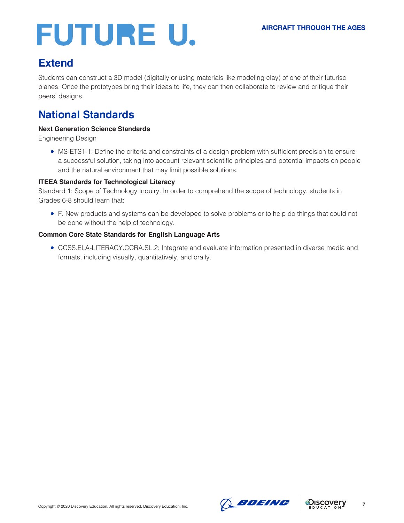# **Extend**

Students can construct a 3D model (digitally or using materials like modeling clay) of one of their futurisc planes. Once the prototypes bring their ideas to life, they can then collaborate to review and critique their peers' designs.

# **National Standards**

### **Next Generation Science Standards**

Engineering Design

● MS-ETS1-1: Define the criteria and constraints of a design problem with sufficient precision to ensure a successful solution, taking into account relevant scientific principles and potential impacts on people and the natural environment that may limit possible solutions.

### **ITEEA Standards for Technological Literacy**

Standard 1: Scope of Technology Inquiry. In order to comprehend the scope of technology, students in Grades 6-8 should learn that:

● F. New products and systems can be developed to solve problems or to help do things that could not be done without the help of technology.

### **Common Core State Standards for English Language Arts**

● CCSS.ELA-LITERACY.CCRA.SL.2: Integrate and evaluate information presented in diverse media and formats, including visually, quantitatively, and orally.

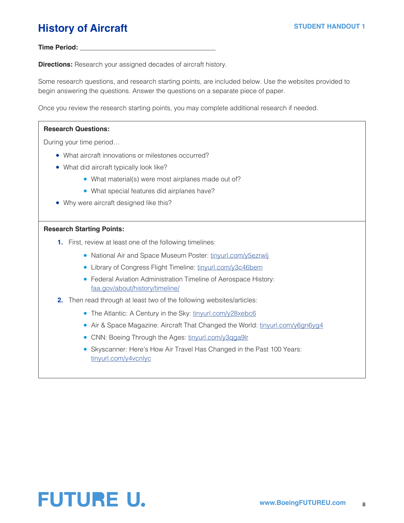# **History of Aircraft STUDENT HANDOUT 1**

#### **Time Period: \_\_\_\_\_\_\_\_\_\_\_\_\_\_\_\_\_\_\_\_\_\_\_\_\_\_\_\_\_\_\_\_\_\_\_\_\_**

**Directions:** Research your assigned decades of aircraft history.

Some research questions, and research starting points, are included below. Use the websites provided to begin answering the questions. Answer the questions on a separate piece of paper.

Once you review the research starting points, you may complete additional research if needed.

#### **Research Questions:**

During your time period…

- What aircraft innovations or milestones occurred?
- What did aircraft typically look like?
	- What material(s) were most airplanes made out of?
	- What special features did airplanes have?
- Why were aircraft designed like this?

#### **Research Starting Points:**

- **1.** First, review at least one of the following timelines:
	- National Air and Space Museum Poster: [tinyurl.com/y5ezrwlj](http://tinyurl.com/y5ezrwlj)
	- Library of Congress Flight Timeline: [tinyurl.com/y3c46bem](http://tinyurl.com/y3c46bem)
	- Federal Aviation Administration Timeline of Aerospace History: [faa.gov/about/history/timeline/](http://faa.gov/about/history/timeline/)
- **2.** Then read through at least two of the following websites/articles:
	- The Atlantic: A Century in the Sky: [tinyurl.com/y28xebc6](http://tinyurl.com/y28xebc6)
	- Air & Space Magazine: Aircraft That Changed the World: [tinyurl.com/y6gn6yg4](http://tinyurl.com/y6gn6yg4)
	- CNN: Boeing Through the Ages: [tinyurl.com/y3qga9lr](http://tinyurl.com/y3qga9lr)
	- Skyscanner: Here's How Air Travel Has Changed in the Past 100 Years: [tinyurl.com/y4vcnlyc](http://tinyurl.com/y4vcnlyc)

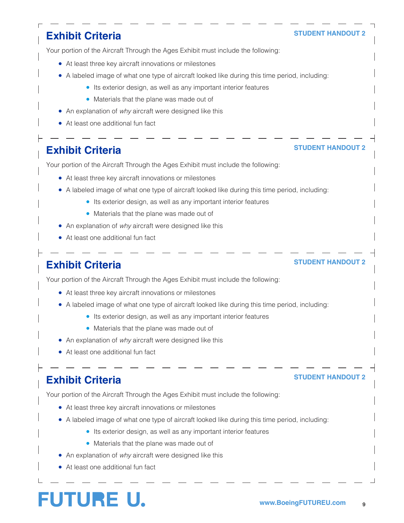# **Exhibit Criteria**

#### **STUDENT HANDOUT 2**

Your portion of the Aircraft Through the Ages Exhibit must include the following:

- At least three key aircraft innovations or milestones
- A labeled image of what one type of aircraft looked like during this time period, including:
	- Its exterior design, as well as any important interior features
	- Materials that the plane was made out of
- An explanation of *why* aircraft were designed like this
- At least one additional fun fact

# **Exhibit Criteria**

### **STUDENT HANDOUT 2**

Your portion of the Aircraft Through the Ages Exhibit must include the following:

- At least three key aircraft innovations or milestones
- A labeled image of what one type of aircraft looked like during this time period, including:
	- Its exterior design, as well as any important interior features
	- Materials that the plane was made out of
- An explanation of *why* aircraft were designed like this
- At least one additional fun fact

## **Exhibit Criteria**

#### **STUDENT HANDOUT 2**

Your portion of the Aircraft Through the Ages Exhibit must include the following:

- At least three key aircraft innovations or milestones
- A labeled image of what one type of aircraft looked like during this time period, including:
	- Its exterior design, as well as any important interior features
	- Materials that the plane was made out of
- An explanation of *why* aircraft were designed like this
- At least one additional fun fact

### **Exhibit Criteria**

### **STUDENT HANDOUT 2**

Your portion of the Aircraft Through the Ages Exhibit must include the following:

- At least three key aircraft innovations or milestones
- A labeled image of what one type of aircraft looked like during this time period, including:
	- Its exterior design, as well as any important interior features
	- Materials that the plane was made out of
- An explanation of *why* aircraft were designed like this
- At least one additional fun fact

# **FUTURE U.**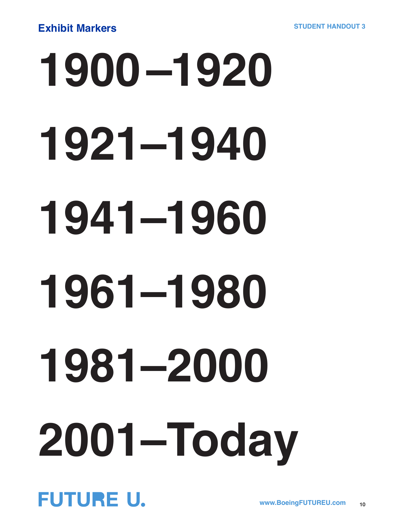# **1900–1920 1921–1940 1941–1960 1961–1980 1981–2000 2001– Today**

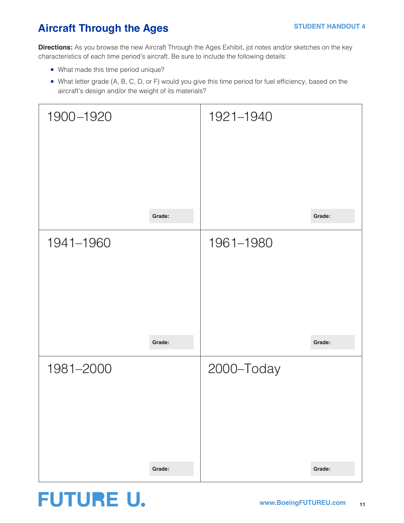# **Aircraft Through the Ages STUDENT HANDOUT 4**

**Directions:** As you browse the new Aircraft Through the Ages Exhibit, jot notes and/or sketches on the key characteristics of each time period's aircraft. Be sure to include the following details:

- What made this time period unique?
- What letter grade (A, B, C, D, or F) would you give this time period for fuel efficiency, based on the aircraft's design and/or the weight of its materials?



# **FUTURE U.**